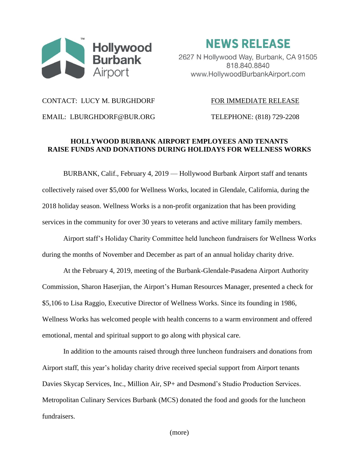

**NEWS RELEASE** 

2627 N Hollywood Way, Burbank, CA 91505 818.840.8840 www.HollywoodBurbankAirport.com

## CONTACT: LUCY M. BURGHDORF FOR IMMEDIATE RELEASE

EMAIL: LBURGHDORF@BUR.ORG TELEPHONE: (818) 729-2208

## **HOLLYWOOD BURBANK AIRPORT EMPLOYEES AND TENANTS RAISE FUNDS AND DONATIONS DURING HOLIDAYS FOR WELLNESS WORKS**

BURBANK, Calif., February 4, 2019 — Hollywood Burbank Airport staff and tenants collectively raised over \$5,000 for Wellness Works, located in Glendale, California, during the 2018 holiday season. Wellness Works is a non-profit organization that has been providing services in the community for over 30 years to veterans and active military family members.

Airport staff's Holiday Charity Committee held luncheon fundraisers for Wellness Works during the months of November and December as part of an annual holiday charity drive.

At the February 4, 2019, meeting of the Burbank-Glendale-Pasadena Airport Authority Commission, Sharon Haserjian, the Airport's Human Resources Manager, presented a check for \$5,106 to Lisa Raggio, Executive Director of Wellness Works. Since its founding in 1986, Wellness Works has welcomed people with health concerns to a warm environment and offered emotional, mental and spiritual support to go along with physical care.

In addition to the amounts raised through three luncheon fundraisers and donations from Airport staff, this year's holiday charity drive received special support from Airport tenants Davies Skycap Services, Inc., Million Air, SP+ and Desmond's Studio Production Services. Metropolitan Culinary Services Burbank (MCS) donated the food and goods for the luncheon fundraisers.